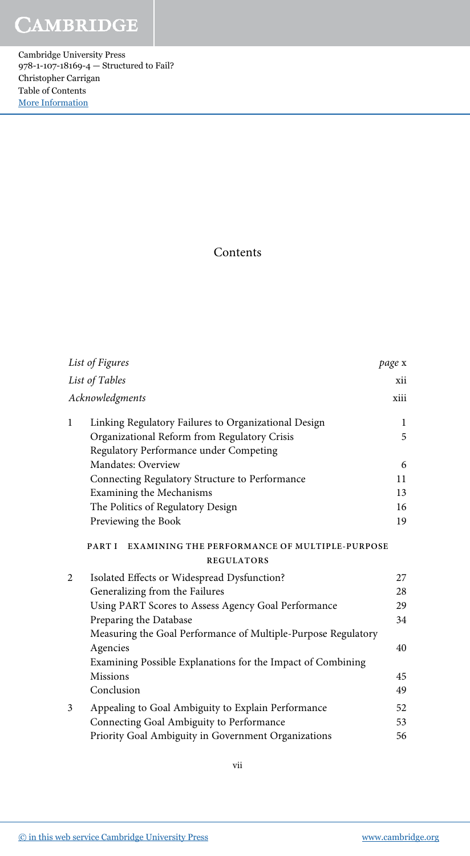Cambridge University Press 978-1-107-18169-4 — Structured to Fail? Christopher Carrigan Table of Contents [More Information](www.cambridge.org/9781107181694)

## Contents

| List of Figures |                                                                                     | page x       |
|-----------------|-------------------------------------------------------------------------------------|--------------|
|                 | List of Tables                                                                      | xii          |
|                 | Acknowledgments                                                                     | xiii         |
| $\mathbf{1}$    | Linking Regulatory Failures to Organizational Design                                | $\mathbf{1}$ |
|                 | Organizational Reform from Regulatory Crisis                                        | 5            |
|                 | Regulatory Performance under Competing                                              |              |
|                 | Mandates: Overview                                                                  | 6            |
|                 | Connecting Regulatory Structure to Performance                                      | 11           |
|                 | Examining the Mechanisms                                                            | 13           |
|                 | The Politics of Regulatory Design                                                   | 16           |
|                 | Previewing the Book                                                                 | 19           |
|                 | PART I<br><b>EXAMINING THE PERFORMANCE OF MULTIPLE-PURPOSE</b><br><b>REGULATORS</b> |              |
| 2               | Isolated Effects or Widespread Dysfunction?                                         | 27           |
|                 | Generalizing from the Failures                                                      | 28           |
|                 | Using PART Scores to Assess Agency Goal Performance                                 | 29           |
|                 | Preparing the Database                                                              | 34           |
|                 | Measuring the Goal Performance of Multiple-Purpose Regulatory                       |              |
|                 | Agencies                                                                            | 40           |
|                 | Examining Possible Explanations for the Impact of Combining                         |              |
|                 | <b>Missions</b>                                                                     | 45           |
|                 | Conclusion                                                                          | 49           |
| 3               | Appealing to Goal Ambiguity to Explain Performance                                  | 52           |
|                 | Connecting Goal Ambiguity to Performance                                            | 53           |
|                 | Priority Goal Ambiguity in Government Organizations                                 | 56           |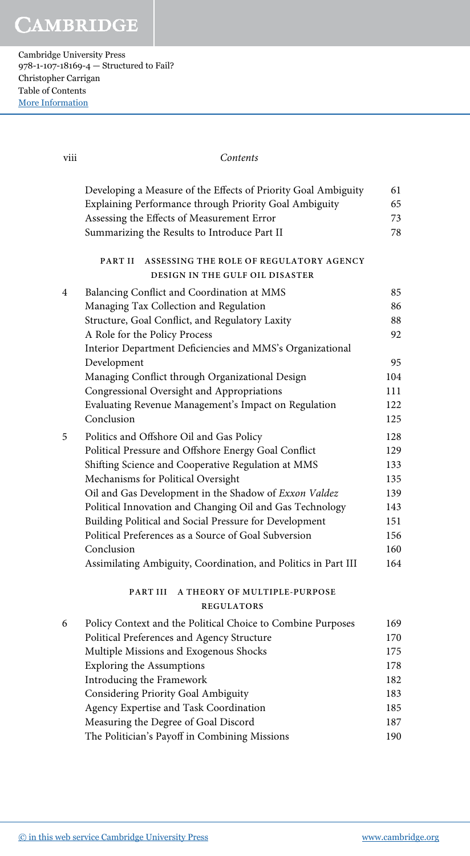**CAMBRIDGE** 

Cambridge University Press 978-1-107-18169-4 — Structured to Fail? Christopher Carrigan Table of Contents [More Information](www.cambridge.org/9781107181694)

| viii | Contents                                                                                                                                                               |                |
|------|------------------------------------------------------------------------------------------------------------------------------------------------------------------------|----------------|
|      | Developing a Measure of the Effects of Priority Goal Ambiguity<br>Explaining Performance through Priority Goal Ambiguity<br>Assessing the Effects of Measurement Error | 61<br>65<br>73 |
|      | Summarizing the Results to Introduce Part II                                                                                                                           | 78             |
|      | PART II<br>ASSESSING THE ROLE OF REGULATORY AGENCY<br>DESIGN IN THE GULF OIL DISASTER                                                                                  |                |
| 4    | Balancing Conflict and Coordination at MMS                                                                                                                             | 85             |
|      | Managing Tax Collection and Regulation                                                                                                                                 | 86             |
|      | Structure, Goal Conflict, and Regulatory Laxity                                                                                                                        | 88             |
|      | A Role for the Policy Process                                                                                                                                          | 92             |
|      | Interior Department Deficiencies and MMS's Organizational                                                                                                              |                |
|      | Development                                                                                                                                                            | 95             |
|      | Managing Conflict through Organizational Design                                                                                                                        | 104            |
|      | Congressional Oversight and Appropriations                                                                                                                             | 111            |
|      | Evaluating Revenue Management's Impact on Regulation<br>Conclusion                                                                                                     | 122<br>125     |
|      |                                                                                                                                                                        | 128            |
| 5    | Politics and Offshore Oil and Gas Policy<br>Political Pressure and Offshore Energy Goal Conflict                                                                       | 129            |
|      | Shifting Science and Cooperative Regulation at MMS                                                                                                                     | 133            |
|      | Mechanisms for Political Oversight                                                                                                                                     | 135            |
|      | Oil and Gas Development in the Shadow of Exxon Valdez                                                                                                                  | 139            |
|      | Political Innovation and Changing Oil and Gas Technology                                                                                                               | 143            |
|      | Building Political and Social Pressure for Development                                                                                                                 | 151            |
|      | Political Preferences as a Source of Goal Subversion                                                                                                                   | 156            |
|      | Conclusion                                                                                                                                                             | 160            |
|      | Assimilating Ambiguity, Coordination, and Politics in Part III                                                                                                         | 164            |
|      | PART III<br>A THEORY OF MULTIPLE-PURPOSE<br><b>REGULATORS</b>                                                                                                          |                |
| 6    | Policy Context and the Political Choice to Combine Purposes                                                                                                            | 169            |
|      | Political Preferences and Agency Structure                                                                                                                             | 170            |
|      | Multiple Missions and Exogenous Shocks                                                                                                                                 | 175            |
|      | <b>Exploring the Assumptions</b>                                                                                                                                       | 178            |
|      | Introducing the Framework                                                                                                                                              | 182            |
|      | Considering Priority Goal Ambiguity                                                                                                                                    | 183            |
|      | Agency Expertise and Task Coordination                                                                                                                                 | 185            |
|      | Measuring the Degree of Goal Discord                                                                                                                                   | 187            |
|      | The Politician's Payoff in Combining Missions                                                                                                                          | 190            |